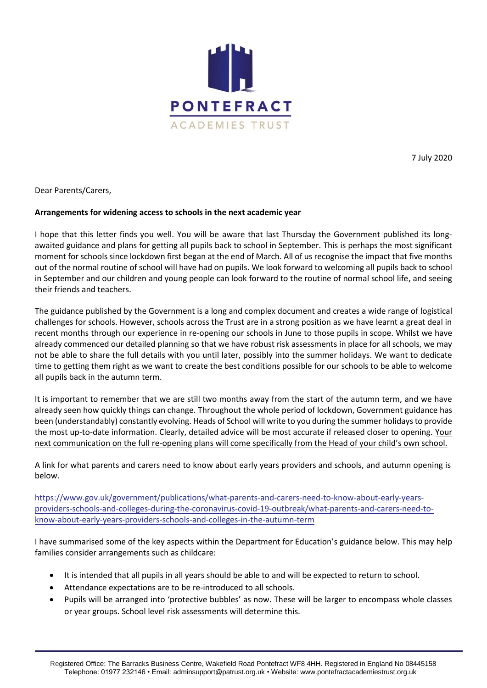

7 July 2020

## Dear Parents/Carers,

## **Arrangements for widening access to schools in the next academic year**

I hope that this letter finds you well. You will be aware that last Thursday the Government published its longawaited guidance and plans for getting all pupils back to school in September. This is perhaps the most significant moment for schools since lockdown first began at the end of March. All of us recognise the impact that five months out of the normal routine of school will have had on pupils. We look forward to welcoming all pupils back to school in September and our children and young people can look forward to the routine of normal school life, and seeing their friends and teachers.

The guidance published by the Government is a long and complex document and creates a wide range of logistical challenges for schools. However, schools across the Trust are in a strong position as we have learnt a great deal in recent months through our experience in re-opening our schools in June to those pupils in scope. Whilst we have already commenced our detailed planning so that we have robust risk assessments in place for all schools, we may not be able to share the full details with you until later, possibly into the summer holidays. We want to dedicate time to getting them right as we want to create the best conditions possible for our schools to be able to welcome all pupils back in the autumn term.

It is important to remember that we are still two months away from the start of the autumn term, and we have already seen how quickly things can change. Throughout the whole period of lockdown, Government guidance has been (understandably) constantly evolving. Heads of School will write to you during the summer holidays to provide the most up-to-date information. Clearly, detailed advice will be most accurate if released closer to opening. Your next communication on the full re-opening plans will come specifically from the Head of your child's own school.

A link for what parents and carers need to know about early years providers and schools, and autumn opening is below.

[https://www.gov.uk/government/publications/what-parents-and-carers-need-to-know-about-early-years](https://www.gov.uk/government/publications/what-parents-and-carers-need-to-know-about-early-years-providers-schools-and-colleges-during-the-coronavirus-covid-19-outbreak/what-parents-and-carers-need-to-know-about-early-years-providers-schools-and-colleges-in-the-autumn-term)[providers-schools-and-colleges-during-the-coronavirus-covid-19-outbreak/what-parents-and-carers-need-to](https://www.gov.uk/government/publications/what-parents-and-carers-need-to-know-about-early-years-providers-schools-and-colleges-during-the-coronavirus-covid-19-outbreak/what-parents-and-carers-need-to-know-about-early-years-providers-schools-and-colleges-in-the-autumn-term)[know-about-early-years-providers-schools-and-colleges-in-the-autumn-term](https://www.gov.uk/government/publications/what-parents-and-carers-need-to-know-about-early-years-providers-schools-and-colleges-during-the-coronavirus-covid-19-outbreak/what-parents-and-carers-need-to-know-about-early-years-providers-schools-and-colleges-in-the-autumn-term)

I have summarised some of the key aspects within the Department for Education's guidance below. This may help families consider arrangements such as childcare:

- It is intended that all pupils in all years should be able to and will be expected to return to school.
- Attendance expectations are to be re-introduced to all schools.
- Pupils will be arranged into 'protective bubbles' as now. These will be larger to encompass whole classes or year groups. School level risk assessments will determine this.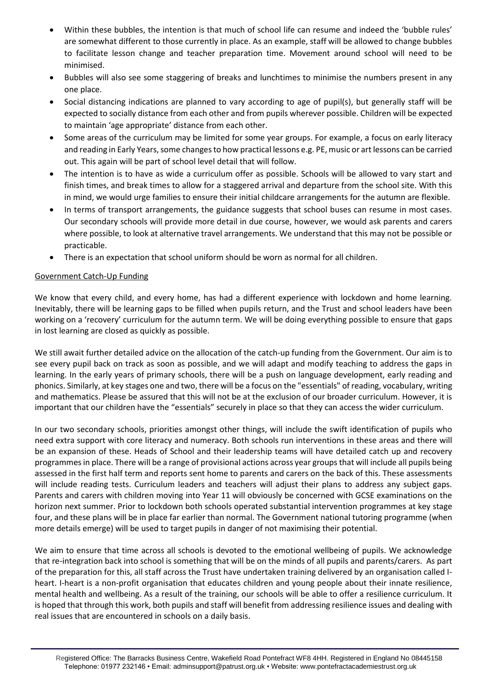- Within these bubbles, the intention is that much of school life can resume and indeed the 'bubble rules' are somewhat different to those currently in place. As an example, staff will be allowed to change bubbles to facilitate lesson change and teacher preparation time. Movement around school will need to be minimised.
- Bubbles will also see some staggering of breaks and lunchtimes to minimise the numbers present in any one place.
- Social distancing indications are planned to vary according to age of pupil(s), but generally staff will be expected to socially distance from each other and from pupils wherever possible. Children will be expected to maintain 'age appropriate' distance from each other.
- Some areas of the curriculum may be limited for some year groups. For example, a focus on early literacy and reading in Early Years, some changes to how practical lessons e.g. PE, music or art lessons can be carried out. This again will be part of school level detail that will follow.
- The intention is to have as wide a curriculum offer as possible. Schools will be allowed to vary start and finish times, and break times to allow for a staggered arrival and departure from the school site. With this in mind, we would urge families to ensure their initial childcare arrangements for the autumn are flexible.
- In terms of transport arrangements, the guidance suggests that school buses can resume in most cases. Our secondary schools will provide more detail in due course, however, we would ask parents and carers where possible, to look at alternative travel arrangements. We understand that this may not be possible or practicable.
- There is an expectation that school uniform should be worn as normal for all children.

## Government Catch-Up Funding

We know that every child, and every home, has had a different experience with lockdown and home learning. Inevitably, there will be learning gaps to be filled when pupils return, and the Trust and school leaders have been working on a 'recovery' curriculum for the autumn term. We will be doing everything possible to ensure that gaps in lost learning are closed as quickly as possible.

We still await further detailed advice on the allocation of the catch-up funding from the Government. Our aim is to see every pupil back on track as soon as possible, and we will adapt and modify teaching to address the gaps in learning. In the early years of primary schools, there will be a push on language development, early reading and phonics. Similarly, at key stages one and two, there will be a focus on the "essentials" of reading, vocabulary, writing and mathematics. Please be assured that this will not be at the exclusion of our broader curriculum. However, it is important that our children have the "essentials" securely in place so that they can access the wider curriculum.

In our two secondary schools, priorities amongst other things, will include the swift identification of pupils who need extra support with core literacy and numeracy. Both schools run interventions in these areas and there will be an expansion of these. Heads of School and their leadership teams will have detailed catch up and recovery programmes in place. There will be a range of provisional actions across year groups that will include all pupils being assessed in the first half term and reports sent home to parents and carers on the back of this. These assessments will include reading tests. Curriculum leaders and teachers will adjust their plans to address any subject gaps. Parents and carers with children moving into Year 11 will obviously be concerned with GCSE examinations on the horizon next summer. Prior to lockdown both schools operated substantial intervention programmes at key stage four, and these plans will be in place far earlier than normal. The Government national tutoring programme (when more details emerge) will be used to target pupils in danger of not maximising their potential.

We aim to ensure that time across all schools is devoted to the emotional wellbeing of pupils. We acknowledge that re-integration back into school is something that will be on the minds of all pupils and parents/carers. As part of the preparation for this, all staff across the Trust have undertaken training delivered by an organisation called Iheart. I-heart is a non-profit organisation that educates children and young people about their innate resilience, mental health and wellbeing. As a result of the training, our schools will be able to offer a resilience curriculum. It is hoped that through this work, both pupils and staff will benefit from addressing resilience issues and dealing with real issues that are encountered in schools on a daily basis.